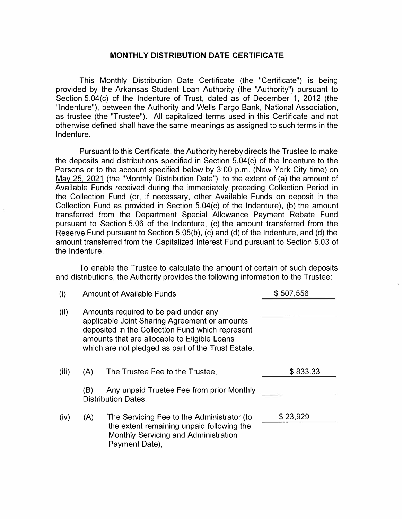## **MONTHLY DISTRIBUTION DATE CERTIFICATE**

This Monthly Distribution Date Certificate (the "Certificate") is being provided by the Arkansas Student Loan Authority (the "Authority") pursuant to Section 5.04(c) of the Indenture of Trust, dated as of December 1, 2012 (the "Indenture"), between the Authority and Wells Fargo Bank, National Association, as trustee (the "Trustee"). All capitalized terms used in this Certificate and not otherwise defined shall have the same meanings as assigned to such terms in the Indenture.

Pursuant to this Certificate, the Authority hereby directs the Trustee to make the deposits and distributions specified in Section 5.04(c) of the Indenture to the Persons or to the account specified below by 3:00 p.m. (New York City time) on May 25, 2021 (the "Monthly Distribution Date"), to the extent of (a) the amount of Available Funds received during the immediately preceding Collection Period in the Collection Fund (or, if necessary, other Available Funds on deposit in the Collection Fund as provided in Section 5.04(c) of the Indenture), (b) the amount transferred from the Department Special Allowance Payment Rebate Fund pursuant to Section 5.06 of the Indenture, (c) the amount transferred from the Reserve Fund pursuant to Section 5.05(b), (c) and (d) of the Indenture, and (d) the amount transferred from the Capitalized Interest Fund pursuant to Section 5.03 of the Indenture.

To enable the Trustee to calculate the amount of certain of such deposits and distributions, the Authority provides the following information to the Trustee:

| (i)   | <b>Amount of Available Funds</b>                                                                                                                                                                                                                 |                                                                                                                                                   | \$507,556 |  |  |
|-------|--------------------------------------------------------------------------------------------------------------------------------------------------------------------------------------------------------------------------------------------------|---------------------------------------------------------------------------------------------------------------------------------------------------|-----------|--|--|
| (ii)  | Amounts required to be paid under any<br>applicable Joint Sharing Agreement or amounts<br>deposited in the Collection Fund which represent<br>amounts that are allocable to Eligible Loans<br>which are not pledged as part of the Trust Estate, |                                                                                                                                                   |           |  |  |
| (iii) | (A)                                                                                                                                                                                                                                              | The Trustee Fee to the Trustee.                                                                                                                   | \$833.33  |  |  |
|       | (B)                                                                                                                                                                                                                                              | Any unpaid Trustee Fee from prior Monthly<br><b>Distribution Dates:</b>                                                                           |           |  |  |
| (iv)  | (A)                                                                                                                                                                                                                                              | The Servicing Fee to the Administrator (to<br>the extent remaining unpaid following the<br>Monthly Servicing and Administration<br>Payment Date), | \$23,929  |  |  |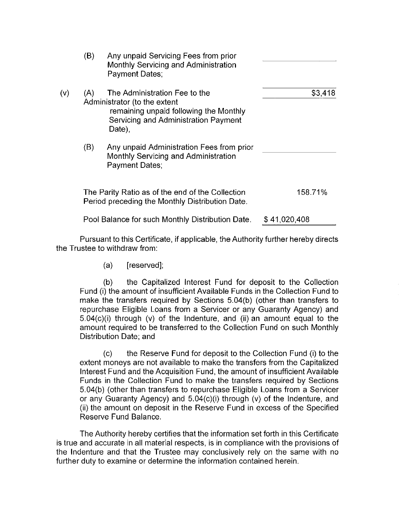|     | (B) | Any unpaid Servicing Fees from prior<br>Monthly Servicing and Administration<br>Payment Dates;                                                            |              |
|-----|-----|-----------------------------------------------------------------------------------------------------------------------------------------------------------|--------------|
| (v) | (A) | The Administration Fee to the<br>Administrator (to the extent<br>remaining unpaid following the Monthly<br>Servicing and Administration Payment<br>Date), | \$3,418      |
|     | (B) | Any unpaid Administration Fees from prior<br>Monthly Servicing and Administration<br>Payment Dates;                                                       |              |
|     |     | The Parity Ratio as of the end of the Collection<br>Period preceding the Monthly Distribution Date.                                                       | 158.71%      |
|     |     | Pool Balance for such Monthly Distribution Date.                                                                                                          | \$41,020,408 |

Pursuant to this Certificate, if applicable, the Authority further hereby directs the Trustee to withdraw from:

> (a) [reserved];

the Capitalized Interest Fund for deposit to the Collection  $(b)$ Fund (i) the amount of insufficient Available Funds in the Collection Fund to make the transfers required by Sections 5.04(b) (other than transfers to repurchase Eligible Loans from a Servicer or any Guaranty Agency) and  $5.04(c)(i)$  through (v) of the Indenture, and (ii) an amount equal to the amount required to be transferred to the Collection Fund on such Monthly Distribution Date: and

the Reserve Fund for deposit to the Collection Fund (i) to the  $(c)$ extent moneys are not available to make the transfers from the Capitalized Interest Fund and the Acquisition Fund, the amount of insufficient Available Funds in the Collection Fund to make the transfers required by Sections 5.04(b) (other than transfers to repurchase Eligible Loans from a Servicer or any Guaranty Agency) and 5.04(c)(i) through (v) of the Indenture, and (ii) the amount on deposit in the Reserve Fund in excess of the Specified Reserve Fund Balance.

The Authority hereby certifies that the information set forth in this Certificate is true and accurate in all material respects, is in compliance with the provisions of the Indenture and that the Trustee may conclusively rely on the same with no further duty to examine or determine the information contained herein.